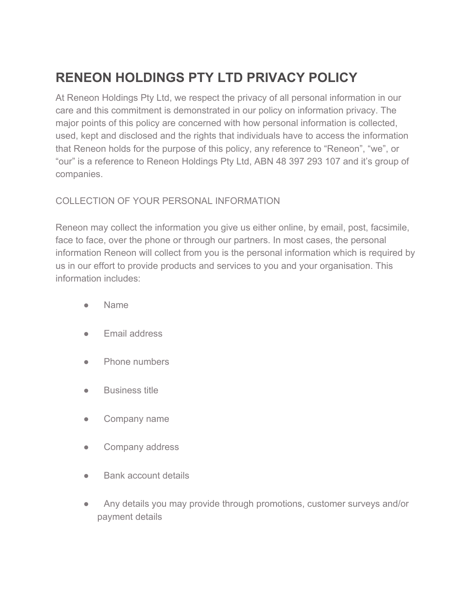# **RENEON HOLDINGS PTY LTD PRIVACY POLICY**

At Reneon Holdings Pty Ltd, we respect the privacy of all personal information in our care and this commitment is demonstrated in our policy on information privacy. The major points of this policy are concerned with how personal information is collected, used, kept and disclosed and the rights that individuals have to access the information that Reneon holds for the purpose of this policy, any reference to "Reneon", "we", or "our" is a reference to Reneon Holdings Pty Ltd, ABN 48 397 293 107 and it's group of companies.

# COLLECTION OF YOUR PERSONAL INFORMATION

Reneon may collect the information you give us either online, by email, post, facsimile, face to face, over the phone or through our partners. In most cases, the personal information Reneon will collect from you is the personal information which is required by us in our effort to provide products and services to you and your organisation. This information includes:

- Name
- Email address
- Phone numbers
- Business title
- Company name
- Company address
- **Bank account details**
- Any details you may provide through promotions, customer surveys and/or payment details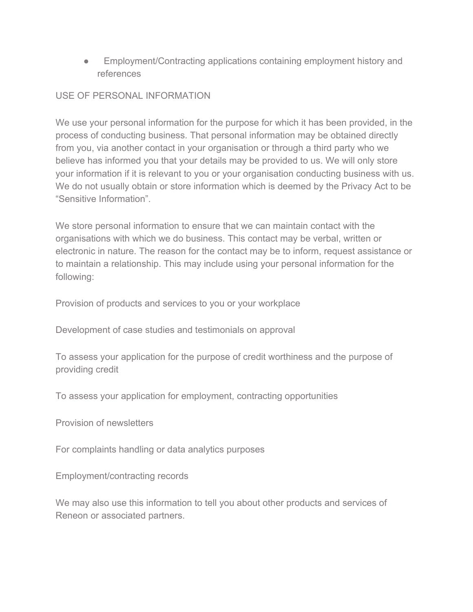• Employment/Contracting applications containing employment history and references

# USE OF PERSONAL INFORMATION

We use your personal information for the purpose for which it has been provided, in the process of conducting business. That personal information may be obtained directly from you, via another contact in your organisation or through a third party who we believe has informed you that your details may be provided to us. We will only store your information if it is relevant to you or your organisation conducting business with us. We do not usually obtain or store information which is deemed by the Privacy Act to be "Sensitive Information".

We store personal information to ensure that we can maintain contact with the organisations with which we do business. This contact may be verbal, written or electronic in nature. The reason for the contact may be to inform, request assistance or to maintain a relationship. This may include using your personal information for the following:

Provision of products and services to you or your workplace

Development of case studies and testimonials on approval

To assess your application for the purpose of credit worthiness and the purpose of providing credit

To assess your application for employment, contracting opportunities

Provision of newsletters

For complaints handling or data analytics purposes

Employment/contracting records

We may also use this information to tell you about other products and services of Reneon or associated partners.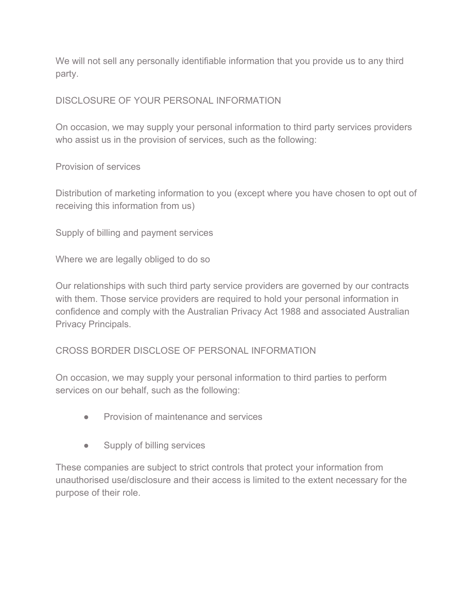We will not sell any personally identifiable information that you provide us to any third party.

## DISCLOSURE OF YOUR PERSONAL INFORMATION

On occasion, we may supply your personal information to third party services providers who assist us in the provision of services, such as the following:

Provision of services

Distribution of marketing information to you (except where you have chosen to opt out of receiving this information from us)

Supply of billing and payment services

Where we are legally obliged to do so

Our relationships with such third party service providers are governed by our contracts with them. Those service providers are required to hold your personal information in confidence and comply with the Australian Privacy Act 1988 and associated Australian Privacy Principals.

## CROSS BORDER DISCLOSE OF PERSONAL INFORMATION

On occasion, we may supply your personal information to third parties to perform services on our behalf, such as the following:

- Provision of maintenance and services
- Supply of billing services

These companies are subject to strict controls that protect your information from unauthorised use/disclosure and their access is limited to the extent necessary for the purpose of their role.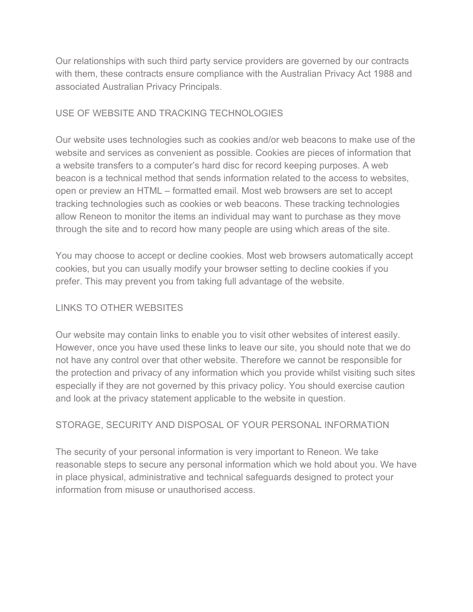Our relationships with such third party service providers are governed by our contracts with them, these contracts ensure compliance with the Australian Privacy Act 1988 and associated Australian Privacy Principals.

#### USE OF WEBSITE AND TRACKING TECHNOLOGIES

Our website uses technologies such as cookies and/or web beacons to make use of the website and services as convenient as possible. Cookies are pieces of information that a website transfers to a computer's hard disc for record keeping purposes. A web beacon is a technical method that sends information related to the access to websites, open or preview an HTML – formatted email. Most web browsers are set to accept tracking technologies such as cookies or web beacons. These tracking technologies allow Reneon to monitor the items an individual may want to purchase as they move through the site and to record how many people are using which areas of the site.

You may choose to accept or decline cookies. Most web browsers automatically accept cookies, but you can usually modify your browser setting to decline cookies if you prefer. This may prevent you from taking full advantage of the website.

## LINKS TO OTHER WEBSITES

Our website may contain links to enable you to visit other websites of interest easily. However, once you have used these links to leave our site, you should note that we do not have any control over that other website. Therefore we cannot be responsible for the protection and privacy of any information which you provide whilst visiting such sites especially if they are not governed by this privacy policy. You should exercise caution and look at the privacy statement applicable to the website in question.

## STORAGE, SECURITY AND DISPOSAL OF YOUR PERSONAL INFORMATION

The security of your personal information is very important to Reneon. We take reasonable steps to secure any personal information which we hold about you. We have in place physical, administrative and technical safeguards designed to protect your information from misuse or unauthorised access.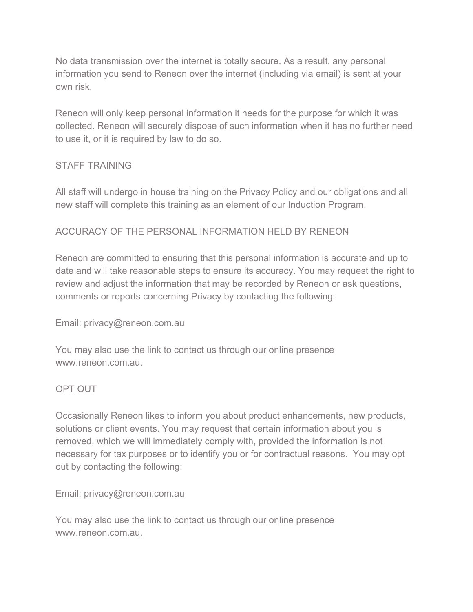No data transmission over the internet is totally secure. As a result, any personal information you send to Reneon over the internet (including via email) is sent at your own risk.

Reneon will only keep personal information it needs for the purpose for which it was collected. Reneon will securely dispose of such information when it has no further need to use it, or it is required by law to do so.

#### STAFF TRAINING

All staff will undergo in house training on the Privacy Policy and our obligations and all new staff will complete this training as an element of our Induction Program.

#### ACCURACY OF THE PERSONAL INFORMATION HELD BY RENEON

Reneon are committed to ensuring that this personal information is accurate and up to date and will take reasonable steps to ensure its accuracy. You may request the right to review and adjust the information that may be recorded by Reneon or ask questions, comments or reports concerning Privacy by contacting the following:

#### Email: privacy@reneon.com.au

You may also use the link to contact us through our online presence www.reneon.com.au.

#### OPT OUT

Occasionally Reneon likes to inform you about product enhancements, new products, solutions or client events. You may request that certain information about you is removed, which we will immediately comply with, provided the information is not necessary for tax purposes or to identify you or for contractual reasons. You may opt out by contacting the following:

Email: privacy@reneon.com.au

You may also use the link to contact us through our online presence www.reneon.com.au.